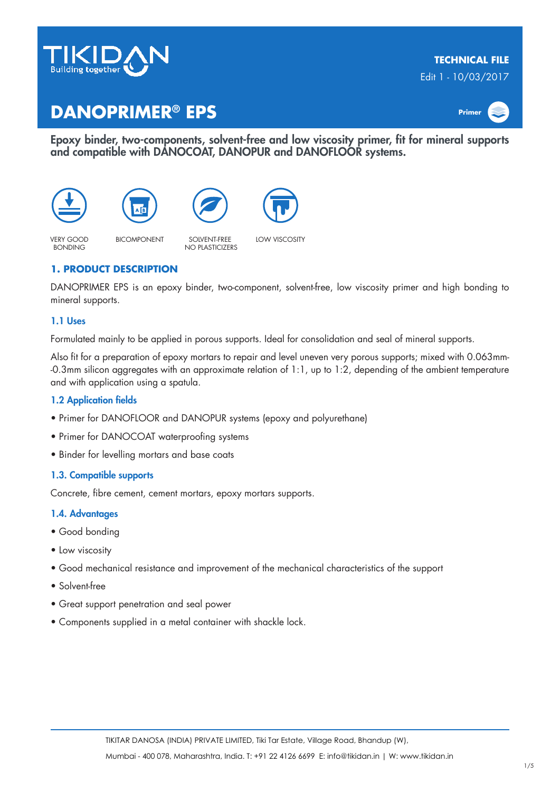

# **TECHNICAL FILE**

Edit 1 - 10/03/2017

# **DANOPRIMER® EPS Primer**



Epoxy binder, two-components, solvent-free and low viscosity primer, fit for mineral supports and compatible with DANOCOAT, DANOPUR and DANOFLOOR systems.









VERY GOOD **BONDING** 

BICOMPONENT SOLVENT-FREE NO PLASTICIZERS

LOW VISCOSITY

# **1. PRODUCT DESCRIPTION**

DANOPRIMER EPS is an epoxy binder, two-component, solvent-free, low viscosity primer and high bonding to mineral supports.

### 1.1 Uses

Formulated mainly to be applied in porous supports. Ideal for consolidation and seal of mineral supports.

Also fit for a preparation of epoxy mortars to repair and level uneven very porous supports; mixed with 0.063mm- -0.3mm silicon aggregates with an approximate relation of 1:1, up to 1:2, depending of the ambient temperature and with application using a spatula.

### 1.2 Application fields

- Primer for DANOFLOOR and DANOPUR systems (epoxy and polyurethane)
- Primer for DANOCOAT waterproofing systems
- Binder for levelling mortars and base coats

### 1.3. Compatible supports

Concrete, fibre cement, cement mortars, epoxy mortars supports.

### 1.4. Advantages

- Good bonding
- Low viscosity
- Good mechanical resistance and improvement of the mechanical characteristics of the support
- Solvent-free
- Great support penetration and seal power
- Components supplied in a metal container with shackle lock.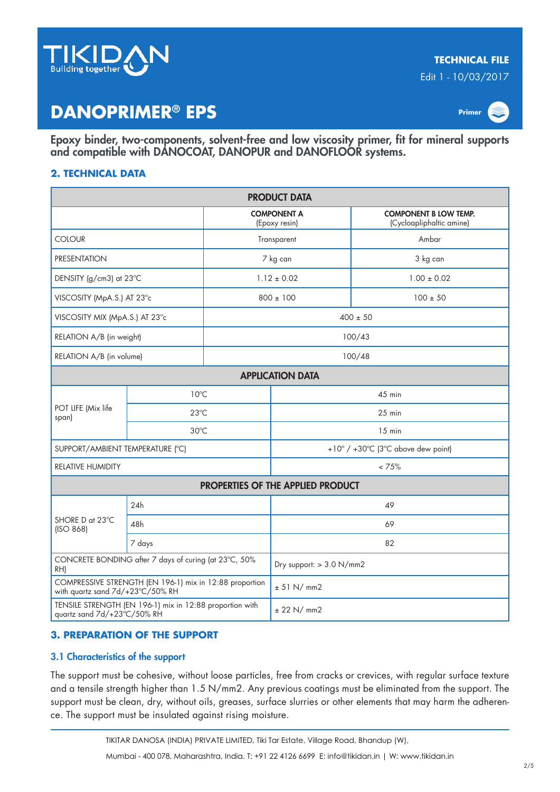

Edit 1 - 10/03/2017

# **DANOPRIMER® EPS Primer**



Epoxy binder, two-components, solvent-free and low viscosity primer, fit for mineral supports and compatible with DANOCOAT, DANOPUR and DANOFLOOR systems.

## **2. TECHNICAL DATA**

| <b>PRODUCT DATA</b>                                                                         |                |                                     |                                          |                                                          |  |  |  |  |
|---------------------------------------------------------------------------------------------|----------------|-------------------------------------|------------------------------------------|----------------------------------------------------------|--|--|--|--|
|                                                                                             |                | <b>COMPONENT A</b><br>(Epoxy resin) |                                          | <b>COMPONENT B LOW TEMP.</b><br>(Cycloapliphaltic amine) |  |  |  |  |
| <b>COLOUR</b>                                                                               |                | Transparent                         |                                          | Ambar                                                    |  |  |  |  |
| <b>PRESENTATION</b>                                                                         |                | 7 kg can                            |                                          | 3 kg can                                                 |  |  |  |  |
| DENSITY (g/cm3) at 23°C                                                                     |                | $1.12 \pm 0.02$                     |                                          | $1.00 \pm 0.02$                                          |  |  |  |  |
| VISCOSITY (MpA.S.) AT 23°c                                                                  |                | $800 \pm 100$                       |                                          | $100 \pm 50$                                             |  |  |  |  |
| VISCOSITY MIX (MpA.S.) AT 23°c                                                              |                | $400 \pm 50$                        |                                          |                                                          |  |  |  |  |
| RELATION A/B (in weight)                                                                    |                | 100/43                              |                                          |                                                          |  |  |  |  |
| RELATION A/B (in volume)                                                                    |                |                                     | 100/48                                   |                                                          |  |  |  |  |
| <b>APPLICATION DATA</b>                                                                     |                |                                     |                                          |                                                          |  |  |  |  |
| POT LIFE (Mix life<br>span)                                                                 | $10^{\circ}$ C |                                     | $45$ min                                 |                                                          |  |  |  |  |
|                                                                                             | $23^{\circ}$ C |                                     | $25$ min                                 |                                                          |  |  |  |  |
|                                                                                             | $30^{\circ}$ C |                                     | $15$ min                                 |                                                          |  |  |  |  |
| SUPPORT/AMBIENT TEMPERATURE (°C)                                                            |                |                                     | +10° / +30°C (3°C above dew point)       |                                                          |  |  |  |  |
| RELATIVE HUMIDITY                                                                           |                |                                     | < 75%                                    |                                                          |  |  |  |  |
|                                                                                             |                |                                     | <b>PROPERTIES OF THE APPLIED PRODUCT</b> |                                                          |  |  |  |  |
| SHORE D at 23°C<br>(ISO 868)                                                                | 24h            |                                     | 49                                       |                                                          |  |  |  |  |
|                                                                                             | 48h            |                                     | 69                                       |                                                          |  |  |  |  |
|                                                                                             | 7 days         |                                     | 82                                       |                                                          |  |  |  |  |
| CONCRETE BONDING after 7 days of curing (at 23°C, 50%<br>RH)                                |                |                                     | Dry support: $> 3.0$ N/mm2               |                                                          |  |  |  |  |
| COMPRESSIVE STRENGTH (EN 196-1) mix in 12:88 proportion<br>with quartz sand 7d/+23°C/50% RH |                |                                     | ± 51 N/mm2                               |                                                          |  |  |  |  |
| TENSILE STRENGTH (EN 196-1) mix in 12:88 proportion with<br>quartz sand 7d/+23°C/50% RH     |                |                                     | ± 22 N/mm2                               |                                                          |  |  |  |  |

## **3. PREPARATION OF THE SUPPORT**

## 3.1 Characteristics of the support

The support must be cohesive, without loose particles, free from cracks or crevices, with regular surface texture and a tensile strength higher than 1.5 N/mm2. Any previous coatings must be eliminated from the support. The support must be clean, dry, without oils, greases, surface slurries or other elements that may harm the adherence. The support must be insulated against rising moisture.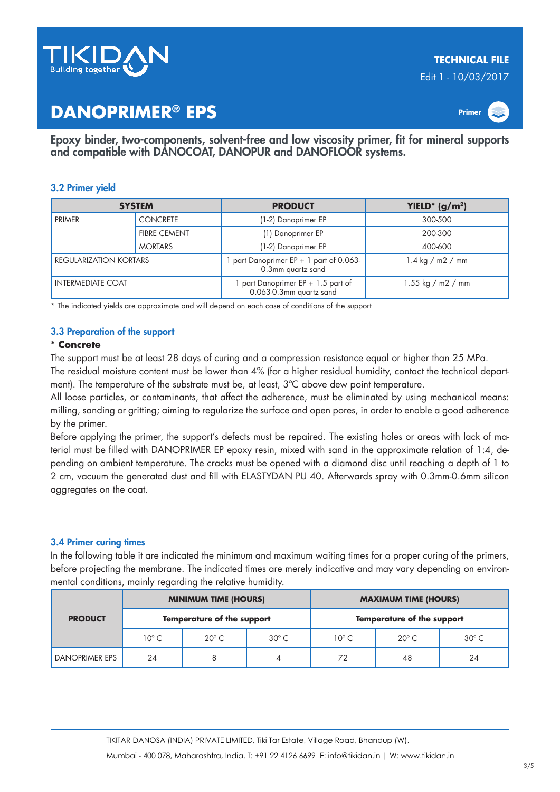

Edit 1 - 10/03/2017

# **DANOPRIMER® EPS Primer**



Epoxy binder, two-components, solvent-free and low viscosity primer, fit for mineral supports and compatible with DANOCOAT, DANOPUR and DANOFLOOR systems.

### 3.2 Primer yield

| <b>SYSTEM</b>            |                     | <b>PRODUCT</b>                                              | YIELD <sup>*</sup> ( $g/m2$ )            |  |
|--------------------------|---------------------|-------------------------------------------------------------|------------------------------------------|--|
| <b>PRIMER</b>            | <b>CONCRETE</b>     | (1-2) Danoprimer EP                                         | 300-500                                  |  |
|                          | <b>FIBRE CEMENT</b> | (1) Danoprimer EP                                           | 200-300                                  |  |
|                          | <b>MORTARS</b>      | (1-2) Danoprimer EP                                         | 400-600                                  |  |
| REGULARIZATION KORTARS   |                     | part Danoprimer $EP + 1$ part of 0.063<br>0.3mm quartz sand | $1.4 \text{ kg} / \text{m2} / \text{mm}$ |  |
| <b>INTERMEDIATE COAT</b> |                     | part Danoprimer EP + 1.5 part of<br>0.063-0.3mm quartz sand | 1.55 kg / m2 / mm                        |  |

\* The indicated yields are approximate and will depend on each case of conditions of the support

### 3.3 Preparation of the support

### **\* Concrete**

The support must be at least 28 days of curing and a compression resistance equal or higher than 25 MPa.

The residual moisture content must be lower than 4% (for a higher residual humidity, contact the technical department). The temperature of the substrate must be, at least, 3ºC above dew point temperature.

All loose particles, or contaminants, that affect the adherence, must be eliminated by using mechanical means: milling, sanding or gritting; aiming to regularize the surface and open pores, in order to enable a good adherence by the primer.

Before applying the primer, the support's defects must be repaired. The existing holes or areas with lack of material must be filled with DANOPRIMER EP epoxy resin, mixed with sand in the approximate relation of 1:4, depending on ambient temperature. The cracks must be opened with a diamond disc until reaching a depth of 1 to 2 cm, vacuum the generated dust and fill with ELASTYDAN PU 40. Afterwards spray with 0.3mm-0.6mm silicon aggregates on the coat.

### 3.4 Primer curing times

In the following table it are indicated the minimum and maximum waiting times for a proper curing of the primers, before projecting the membrane. The indicated times are merely indicative and may vary depending on environmental conditions, mainly regarding the relative humidity.

| <b>PRODUCT</b>        | <b>MINIMUM TIME (HOURS)</b> |                |              | <b>MAXIMUM TIME (HOURS)</b>       |                |                |
|-----------------------|-----------------------------|----------------|--------------|-----------------------------------|----------------|----------------|
|                       | Temperature of the support  |                |              | <b>Temperature of the support</b> |                |                |
|                       | $10^{\circ}$ C              | $20^{\circ}$ C | $30^\circ C$ | $10^{\circ}$ C                    | $20^{\circ}$ C | $30^{\circ}$ C |
| <b>DANOPRIMER EPS</b> | 24                          | 8              |              | 72                                | 48             | 24             |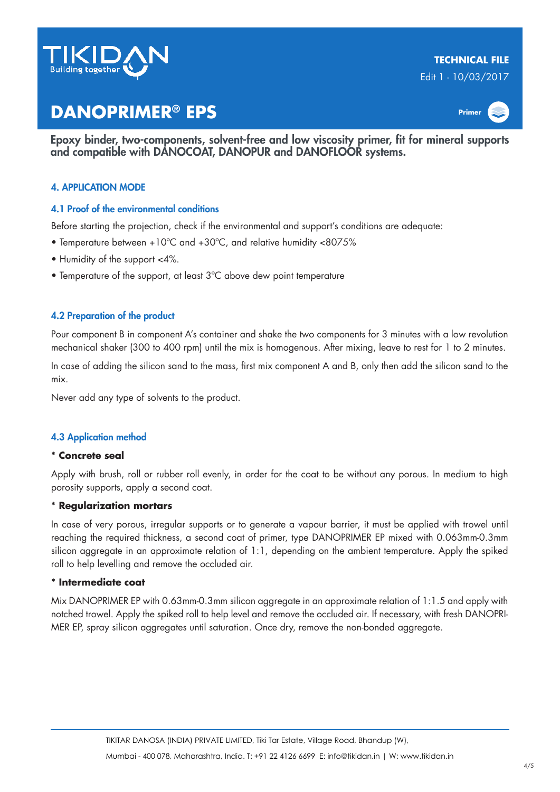

# **TECHNICAL FILE**

Edit 1 - 10/03/2017

# **DANOPRIMER® EPS Primer**

Epoxy binder, two-components, solvent-free and low viscosity primer, fit for mineral supports and compatible with DANOCOAT, DANOPUR and DANOFLOOR systems.

## 4. APPLICATION MODE

### 4.1 Proof of the environmental conditions

Before starting the projection, check if the environmental and support's conditions are adequate:

- Temperature between +10ºC and +30ºC, and relative humidity <8075%
- Humidity of the support <4%.
- Temperature of the support, at least 3ºC above dew point temperature

### 4.2 Preparation of the product

Pour component B in component A's container and shake the two components for 3 minutes with a low revolution mechanical shaker (300 to 400 rpm) until the mix is homogenous. After mixing, leave to rest for 1 to 2 minutes.

In case of adding the silicon sand to the mass, first mix component A and B, only then add the silicon sand to the mix.

Never add any type of solvents to the product.

### 4.3 Application method

### **\* Concrete seal**

Apply with brush, roll or rubber roll evenly, in order for the coat to be without any porous. In medium to high porosity supports, apply a second coat.

### **\* Regularization mortars**

In case of very porous, irregular supports or to generate a vapour barrier, it must be applied with trowel until reaching the required thickness, a second coat of primer, type DANOPRIMER EP mixed with 0.063mm-0.3mm silicon aggregate in an approximate relation of 1:1, depending on the ambient temperature. Apply the spiked roll to help levelling and remove the occluded air.

### **\* Intermediate coat**

Mix DANOPRIMER EP with 0.63mm-0.3mm silicon aggregate in an approximate relation of 1:1.5 and apply with notched trowel. Apply the spiked roll to help level and remove the occluded air. If necessary, with fresh DANOPRI-MER EP, spray silicon aggregates until saturation. Once dry, remove the non-bonded aggregate.